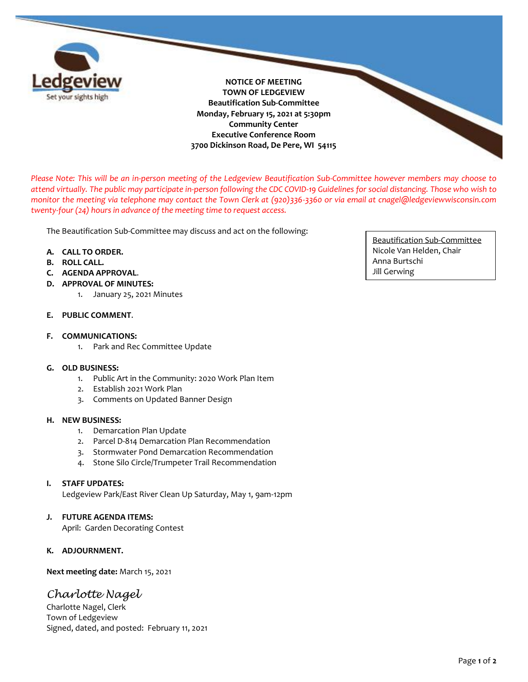

**NOTICE OF MEETING TOWN OF LEDGEVIEW Beautification Sub-Committee Monday, February 15, 2021 at 5:30pm Community Center Executive Conference Room 3700 Dickinson Road, De Pere, WI 54115**

*Please Note: This will be an in-person meeting of the Ledgeview Beautification Sub-Committee however members may choose to attend virtually. The public may participate in-person following the CDC COVID-19 Guidelines for social distancing. Those who wish to monitor the meeting via telephone may contact the Town Clerk at (920)336-3360 or via email at cnagel@ledgeviewwisconsin.com twenty-four (24) hours in advance of the meeting time to request access.* 

The Beautification Sub-Committee may discuss and act on the following:

## **A. CALL TO ORDER.**

- **B. ROLL CALL.**
- **C. AGENDA APPROVAL**.
- **D. APPROVAL OF MINUTES:** 
	- 1. January 25, 2021 Minutes

# **E. PUBLIC COMMENT**.

#### **F. COMMUNICATIONS:**

1. Park and Rec Committee Update

#### **G. OLD BUSINESS:**

- 1. Public Art in the Community: 2020 Work Plan Item
- 2. Establish 2021 Work Plan
- 3. Comments on Updated Banner Design

#### **H. NEW BUSINESS:**

- 1. Demarcation Plan Update
- 2. Parcel D-814 Demarcation Plan Recommendation
- 3. Stormwater Pond Demarcation Recommendation
- 4. Stone Silo Circle/Trumpeter Trail Recommendation

# **I. STAFF UPDATES:**

Ledgeview Park/East River Clean Up Saturday, May 1, 9am-12pm

## **J. FUTURE AGENDA ITEMS:**

April: Garden Decorating Contest

## **K. ADJOURNMENT.**

**Next meeting date:** March 15, 2021

# *Charlotte Nagel*

Charlotte Nagel, Clerk Town of Ledgeview Signed, dated, and posted: February 11, 2021

Beautification Sub-Committee Nicole Van Helden, Chair Anna Burtschi Jill Gerwing